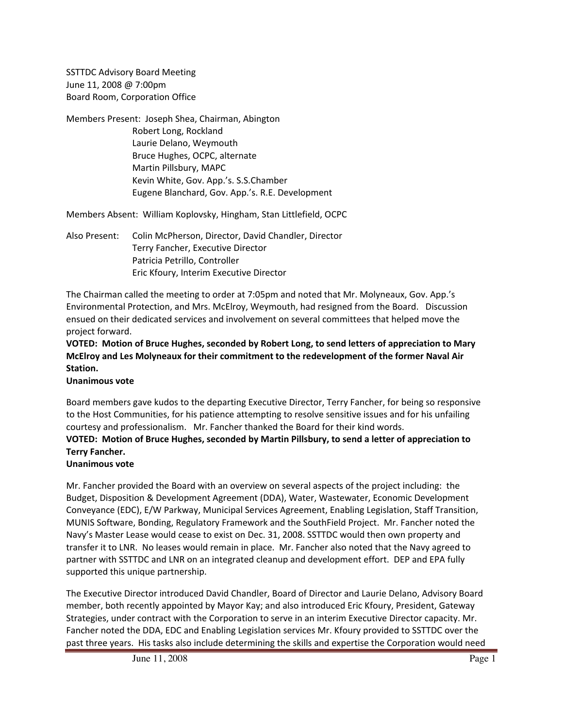SSTTDC Advisory Board Meeting June 11, 2008 @ 7:00pm Board Room, Corporation Office

Members Present: Joseph Shea, Chairman, Abington Robert Long, Rockland Laurie Delano, Weymouth Bruce Hughes, OCPC, alternate Martin Pillsbury, MAPC Kevin White, Gov. App.'s. S.S.Chamber Eugene Blanchard, Gov. App.'s. R.E. Development

Members Absent: William Koplovsky, Hingham, Stan Littlefield, OCPC

Also Present: Colin McPherson, Director, David Chandler, Director Terry Fancher, Executive Director Patricia Petrillo, Controller Eric Kfoury, Interim Executive Director

The Chairman called the meeting to order at 7:05pm and noted that Mr. Molyneaux, Gov. App.'s Environmental Protection, and Mrs. McElroy, Weymouth, had resigned from the Board. Discussion ensued on their dedicated services and involvement on several committees that helped move the project forward.

## **VOTED: Motion of Bruce Hughes, seconded by Robert Long, to send letters of appreciation to Mary McElroy and Les Molyneaux for their commitment to the redevelopment of the former Naval Air Station.**

**Unanimous vote**

Board members gave kudos to the departing Executive Director, Terry Fancher, for being so responsive to the Host Communities, for his patience attempting to resolve sensitive issues and for his unfailing courtesy and professionalism. Mr. Fancher thanked the Board for their kind words.

# **VOTED: Motion of Bruce Hughes, seconded by Martin Pillsbury, to send a letter of appreciation to Terry Fancher.**

# **Unanimous vote**

Mr. Fancher provided the Board with an overview on several aspects of the project including: the Budget, Disposition & Development Agreement (DDA), Water, Wastewater, Economic Development Conveyance (EDC), E/W Parkway, Municipal Services Agreement, Enabling Legislation, Staff Transition, MUNIS Software, Bonding, Regulatory Framework and the SouthField Project. Mr. Fancher noted the Navy's Master Lease would cease to exist on Dec. 31, 2008. SSTTDC would then own property and transfer it to LNR. No leases would remain in place. Mr. Fancher also noted that the Navy agreed to partner with SSTTDC and LNR on an integrated cleanup and development effort. DEP and EPA fully supported this unique partnership.

The Executive Director introduced David Chandler, Board of Director and Laurie Delano, Advisory Board member, both recently appointed by Mayor Kay; and also introduced Eric Kfoury, President, Gateway Strategies, under contract with the Corporation to serve in an interim Executive Director capacity. Mr. Fancher noted the DDA, EDC and Enabling Legislation services Mr. Kfoury provided to SSTTDC over the past three years. His tasks also include determining the skills and expertise the Corporation would need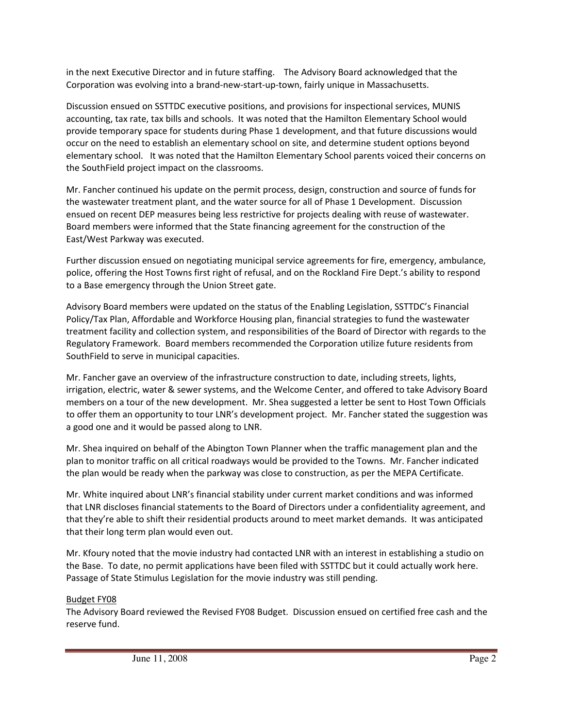in the next Executive Director and in future staffing. The Advisory Board acknowledged that the Corporation was evolving into a brand‐new‐start‐up‐town, fairly unique in Massachusetts.

Discussion ensued on SSTTDC executive positions, and provisions for inspectional services, MUNIS accounting, tax rate, tax bills and schools. It was noted that the Hamilton Elementary School would provide temporary space for students during Phase 1 development, and that future discussions would occur on the need to establish an elementary school on site, and determine student options beyond elementary school. It was noted that the Hamilton Elementary School parents voiced their concerns on the SouthField project impact on the classrooms.

Mr. Fancher continued his update on the permit process, design, construction and source of funds for the wastewater treatment plant, and the water source for all of Phase 1 Development. Discussion ensued on recent DEP measures being less restrictive for projects dealing with reuse of wastewater. Board members were informed that the State financing agreement for the construction of the East/West Parkway was executed.

Further discussion ensued on negotiating municipal service agreements for fire, emergency, ambulance, police, offering the Host Towns first right of refusal, and on the Rockland Fire Dept.'s ability to respond to a Base emergency through the Union Street gate.

Advisory Board members were updated on the status of the Enabling Legislation, SSTTDC's Financial Policy/Tax Plan, Affordable and Workforce Housing plan, financial strategies to fund the wastewater treatment facility and collection system, and responsibilities of the Board of Director with regards to the Regulatory Framework. Board members recommended the Corporation utilize future residents from SouthField to serve in municipal capacities.

Mr. Fancher gave an overview of the infrastructure construction to date, including streets, lights, irrigation, electric, water & sewer systems, and the Welcome Center, and offered to take Advisory Board members on a tour of the new development. Mr. Shea suggested a letter be sent to Host Town Officials to offer them an opportunity to tour LNR's development project. Mr. Fancher stated the suggestion was a good one and it would be passed along to LNR.

Mr. Shea inquired on behalf of the Abington Town Planner when the traffic management plan and the plan to monitor traffic on all critical roadways would be provided to the Towns. Mr. Fancher indicated the plan would be ready when the parkway was close to construction, as per the MEPA Certificate.

Mr. White inquired about LNR's financial stability under current market conditions and was informed that LNR discloses financial statements to the Board of Directors under a confidentiality agreement, and that they're able to shift their residential products around to meet market demands. It was anticipated that their long term plan would even out.

Mr. Kfoury noted that the movie industry had contacted LNR with an interest in establishing a studio on the Base. To date, no permit applications have been filed with SSTTDC but it could actually work here. Passage of State Stimulus Legislation for the movie industry was still pending.

## Budget FY08

The Advisory Board reviewed the Revised FY08 Budget. Discussion ensued on certified free cash and the reserve fund.